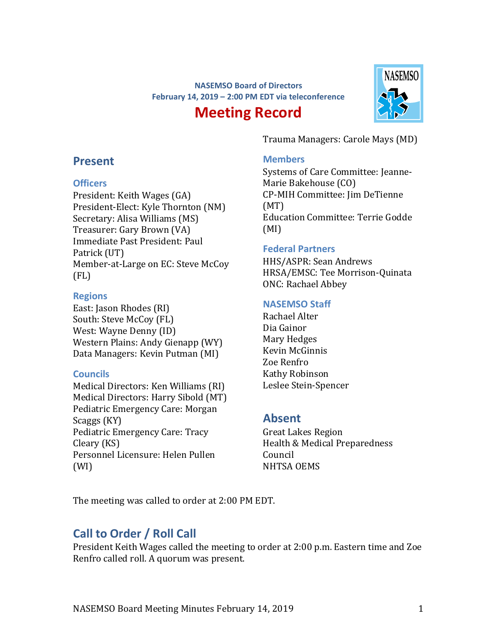### **NASEMSO Board of Directors February 14, 2019 – 2:00 PM EDT via teleconference**

# **Meeting Record**



Trauma Managers: Carole Mays (MD)

#### **Members**

Systems of Care Committee: Jeanne-Marie Bakehouse (CO) CP-MIH Committee: Jim DeTienne (MT) Education Committee: Terrie Godde (MI)

#### **Federal Partners**

HHS/ASPR: Sean Andrews HRSA/EMSC: Tee Morrison-Quinata ONC: Rachael Abbey

#### **NASEMSO Staff**

Rachael Alter Dia Gainor Mary Hedges Kevin McGinnis Zoe Renfro Kathy Robinson Leslee Stein-Spencer

### **Absent**

Great Lakes Region Health & Medical Preparedness Council NHTSA OEMS

The meeting was called to order at 2:00 PM EDT.

### **Call to Order / Roll Call**

President Keith Wages called the meeting to order at 2:00 p.m. Eastern time and Zoe Renfro called roll. A quorum was present.

# **Present**

### **Officers**

President: Keith Wages (GA) President-Elect: Kyle Thornton (NM) Secretary: Alisa Williams (MS) Treasurer: Gary Brown (VA) Immediate Past President: Paul Patrick (UT) Member-at-Large on EC: Steve McCoy (FL)

### **Regions**

East: Jason Rhodes (RI) South: Steve McCoy (FL) West: Wayne Denny (ID) Western Plains: Andy Gienapp (WY) Data Managers: Kevin Putman (MI)

### **Councils**

Medical Directors: Ken Williams (RI) Medical Directors: Harry Sibold (MT) Pediatric Emergency Care: Morgan Scaggs (KY) Pediatric Emergency Care: Tracy Cleary (KS) Personnel Licensure: Helen Pullen (WI)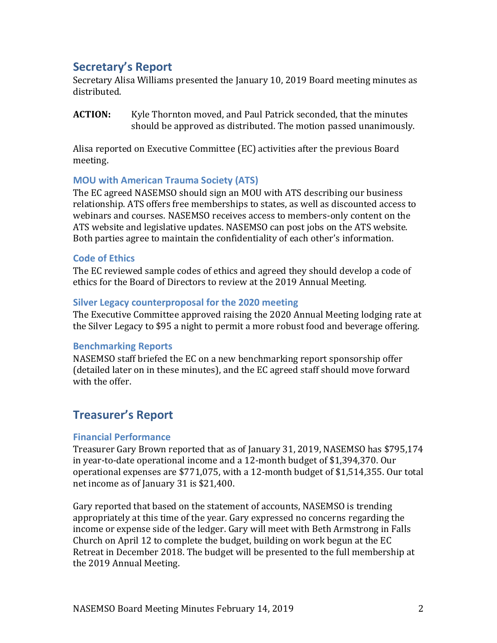# **Secretary's Report**

Secretary Alisa Williams presented the January 10, 2019 Board meeting minutes as distributed.

**ACTION:** Kyle Thornton moved, and Paul Patrick seconded, that the minutes should be approved as distributed. The motion passed unanimously.

Alisa reported on Executive Committee (EC) activities after the previous Board meeting.

#### **MOU with American Trauma Society (ATS)**

The EC agreed NASEMSO should sign an MOU with ATS describing our business relationship. ATS offers free memberships to states, as well as discounted access to webinars and courses. NASEMSO receives access to members-only content on the ATS website and legislative updates. NASEMSO can post jobs on the ATS website. Both parties agree to maintain the confidentiality of each other's information.

#### **Code of Ethics**

The EC reviewed sample codes of ethics and agreed they should develop a code of ethics for the Board of Directors to review at the 2019 Annual Meeting.

#### **Silver Legacy counterproposal for the 2020 meeting**

The Executive Committee approved raising the 2020 Annual Meeting lodging rate at the Silver Legacy to \$95 a night to permit a more robust food and beverage offering.

#### **Benchmarking Reports**

NASEMSO staff briefed the EC on a new benchmarking report sponsorship offer (detailed later on in these minutes), and the EC agreed staff should move forward with the offer.

### **Treasurer's Report**

#### **Financial Performance**

Treasurer Gary Brown reported that as of January 31, 2019, NASEMSO has \$795,174 in year-to-date operational income and a 12-month budget of \$1,394,370. Our operational expenses are \$771,075, with a 12-month budget of \$1,514,355. Our total net income as of January 31 is \$21,400.

Gary reported that based on the statement of accounts, NASEMSO is trending appropriately at this time of the year. Gary expressed no concerns regarding the income or expense side of the ledger. Gary will meet with Beth Armstrong in Falls Church on April 12 to complete the budget, building on work begun at the EC Retreat in December 2018. The budget will be presented to the full membership at the 2019 Annual Meeting.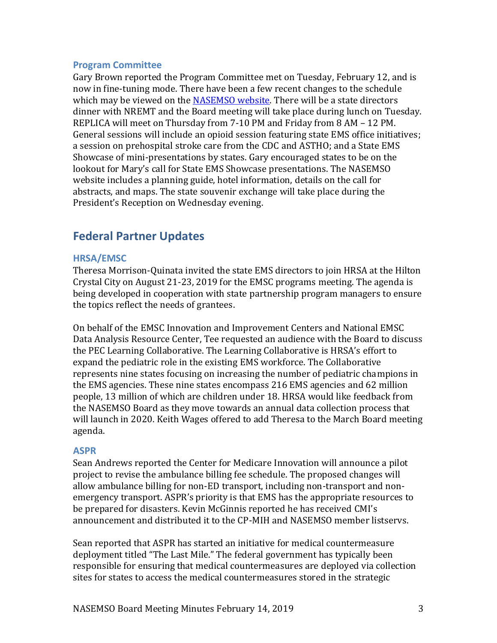#### **Program Committee**

Gary Brown reported the Program Committee met on Tuesday, February 12, and is now in fine-tuning mode. There have been a few recent changes to the schedule which may be viewed on the [NASEMSO website.](https://nasemso.org/wp-content/uploads/Schedule-at-A-Glance-NASEMSO-Annual-Meeting-1.pdf) There will be a state directors dinner with NREMT and the Board meeting will take place during lunch on Tuesday. REPLICA will meet on Thursday from 7-10 PM and Friday from 8 AM – 12 PM. General sessions will include an opioid session featuring state EMS office initiatives; a session on prehospital stroke care from the CDC and ASTHO; and a State EMS Showcase of mini-presentations by states. Gary encouraged states to be on the lookout for Mary's call for State EMS Showcase presentations. The NASEMSO website includes a planning guide, hotel information, details on the call for abstracts, and maps. The state souvenir exchange will take place during the President's Reception on Wednesday evening.

### **Federal Partner Updates**

#### **HRSA/EMSC**

Theresa Morrison-Quinata invited the state EMS directors to join HRSA at the Hilton Crystal City on August 21-23, 2019 for the EMSC programs meeting. The agenda is being developed in cooperation with state partnership program managers to ensure the topics reflect the needs of grantees.

On behalf of the EMSC Innovation and Improvement Centers and National EMSC Data Analysis Resource Center, Tee requested an audience with the Board to discuss the PEC Learning Collaborative. The Learning Collaborative is HRSA's effort to expand the pediatric role in the existing EMS workforce. The Collaborative represents nine states focusing on increasing the number of pediatric champions in the EMS agencies. These nine states encompass 216 EMS agencies and 62 million people, 13 million of which are children under 18. HRSA would like feedback from the NASEMSO Board as they move towards an annual data collection process that will launch in 2020. Keith Wages offered to add Theresa to the March Board meeting agenda.

#### **ASPR**

Sean Andrews reported the Center for Medicare Innovation will announce a pilot project to revise the ambulance billing fee schedule. The proposed changes will allow ambulance billing for non-ED transport, including non-transport and nonemergency transport. ASPR's priority is that EMS has the appropriate resources to be prepared for disasters. Kevin McGinnis reported he has received CMI's announcement and distributed it to the CP-MIH and NASEMSO member listservs.

Sean reported that ASPR has started an initiative for medical countermeasure deployment titled "The Last Mile." The federal government has typically been responsible for ensuring that medical countermeasures are deployed via collection sites for states to access the medical countermeasures stored in the strategic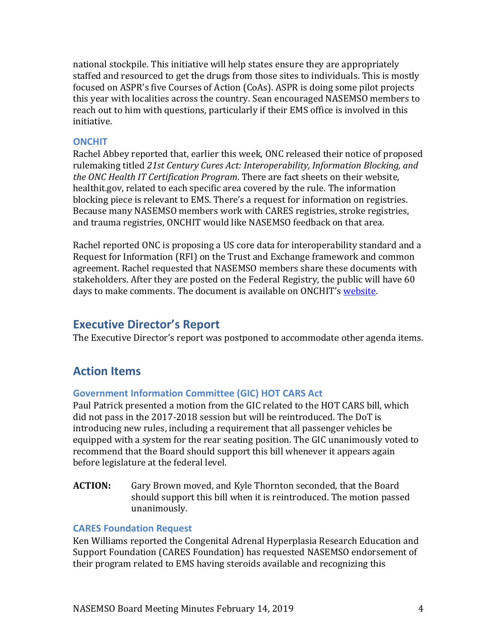national stockpile. This initiative will help states ensure they are appropriately staffed and resourced to get the drugs from those sites to individuals. This is mostly focused on ASPR's five Courses of Action (CoAs). ASPR is doing some pilot projects this year with localities across the country. Sean encouraged NASEMSO members to reach out to him with questions, particularly if their EMS office is involved in this initiative.

#### **ONCHIT**

Rachel Abbey reported that, earlier this week, ONC released their notice of proposed rulemaking titled *21st Century Cures Act: Interoperability, Information Blocking, and the ONC Health IT Certification Program*. There are fact sheets on their website, healthit.gov, related to each specific area covered by the rule. The information blocking piece is relevant to EMS. There's a request for information on registries. Because many NASEMSO members work with CARES registries, stroke registries, and trauma registries, ONCHIT would like NASEMSO feedback on that area.

Rachel reported ONC is proposing a US core data for interoperability standard and a Request for Information (RFI) on the Trust and Exchange framework and common agreement. Rachel requested that NASEMSO members share these documents with stakeholders. After they are posted on the Federal Registry, the public will have 60 days to make comments. The document is available on ONCHIT's [website.](https://www.healthit.gov/topic/laws-regulation-and-policy/notice-proposed-rulemaking-improve-interoperability-health)

### **Executive Director's Report**

The Executive Director's report was postponed to accommodate other agenda items.

# **Action Items**

#### **Government Information Committee (GIC) HOT CARS Act**

Paul Patrick presented a motion from the GIC related to the HOT CARS bill, which did not pass in the 2017-2018 session but will be reintroduced. The DoT is introducing new rules, including a requirement that all passenger vehicles be equipped with a system for the rear seating position. The GIC unanimously voted to recommend that the Board should support this bill whenever it appears again before legislature at the federal level.

**ACTION:** Gary Brown moved, and Kyle Thornton seconded, that the Board should support this bill when it is reintroduced. The motion passed unanimously.

#### **CARES Foundation Request**

Ken Williams reported the Congenital Adrenal Hyperplasia Research Education and Support Foundation (CARES Foundation) has requested NASEMSO endorsement of their program related to EMS having steroids available and recognizing this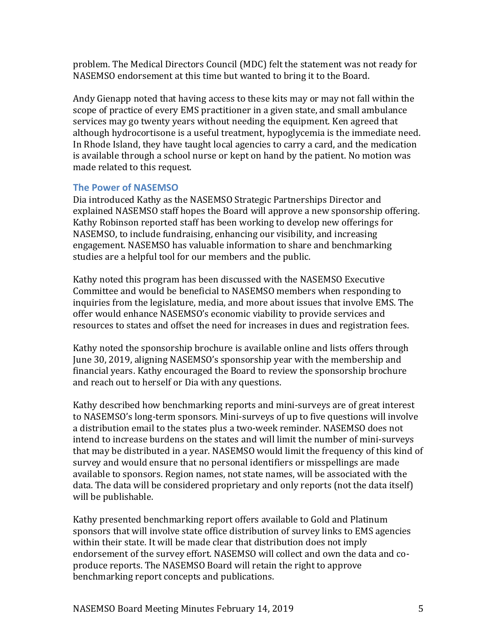problem. The Medical Directors Council (MDC) felt the statement was not ready for NASEMSO endorsement at this time but wanted to bring it to the Board.

Andy Gienapp noted that having access to these kits may or may not fall within the scope of practice of every EMS practitioner in a given state, and small ambulance services may go twenty years without needing the equipment. Ken agreed that although hydrocortisone is a useful treatment, hypoglycemia is the immediate need. In Rhode Island, they have taught local agencies to carry a card, and the medication is available through a school nurse or kept on hand by the patient. No motion was made related to this request.

### **The Power of NASEMSO**

Dia introduced Kathy as the NASEMSO Strategic Partnerships Director and explained NASEMSO staff hopes the Board will approve a new sponsorship offering. Kathy Robinson reported staff has been working to develop new offerings for NASEMSO, to include fundraising, enhancing our visibility, and increasing engagement. NASEMSO has valuable information to share and benchmarking studies are a helpful tool for our members and the public.

Kathy noted this program has been discussed with the NASEMSO Executive Committee and would be beneficial to NASEMSO members when responding to inquiries from the legislature, media, and more about issues that involve EMS. The offer would enhance NASEMSO's economic viability to provide services and resources to states and offset the need for increases in dues and registration fees.

Kathy noted the sponsorship brochure is available online and lists offers through June 30, 2019, aligning NASEMSO's sponsorship year with the membership and financial years. Kathy encouraged the Board to review the sponsorship brochure and reach out to herself or Dia with any questions.

Kathy described how benchmarking reports and mini-surveys are of great interest to NASEMSO's long-term sponsors. Mini-surveys of up to five questions will involve a distribution email to the states plus a two-week reminder. NASEMSO does not intend to increase burdens on the states and will limit the number of mini-surveys that may be distributed in a year. NASEMSO would limit the frequency of this kind of survey and would ensure that no personal identifiers or misspellings are made available to sponsors. Region names, not state names, will be associated with the data. The data will be considered proprietary and only reports (not the data itself) will be publishable.

Kathy presented benchmarking report offers available to Gold and Platinum sponsors that will involve state office distribution of survey links to EMS agencies within their state. It will be made clear that distribution does not imply endorsement of the survey effort. NASEMSO will collect and own the data and coproduce reports. The NASEMSO Board will retain the right to approve benchmarking report concepts and publications.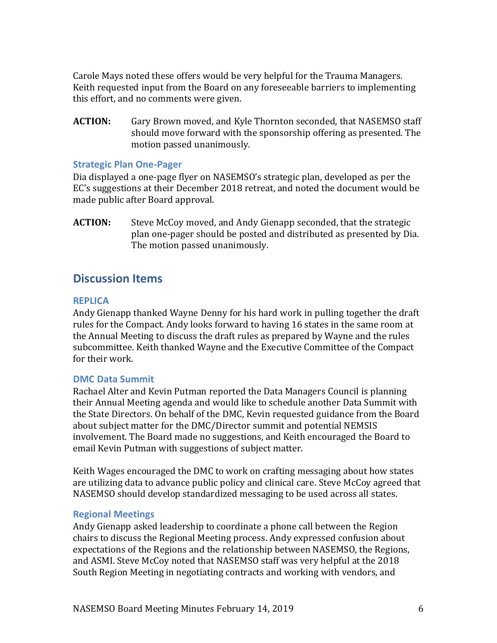Carole Mays noted these offers would be very helpful for the Trauma Managers. Keith requested input from the Board on any foreseeable barriers to implementing this effort, and no comments were given.

**ACTION:** Gary Brown moved, and Kyle Thornton seconded, that NASEMSO staff should move forward with the sponsorship offering as presented. The motion passed unanimously.

#### **Strategic Plan One-Pager**

Dia displayed a one-page flyer on NASEMSO's strategic plan, developed as per the EC's suggestions at their December 2018 retreat, and noted the document would be made public after Board approval.

**ACTION:** Steve McCoy moved, and Andy Gienapp seconded, that the strategic plan one-pager should be posted and distributed as presented by Dia. The motion passed unanimously.

### **Discussion Items**

#### **REPLICA**

Andy Gienapp thanked Wayne Denny for his hard work in pulling together the draft rules for the Compact. Andy looks forward to having 16 states in the same room at the Annual Meeting to discuss the draft rules as prepared by Wayne and the rules subcommittee. Keith thanked Wayne and the Executive Committee of the Compact for their work.

#### **DMC Data Summit**

Rachael Alter and Kevin Putman reported the Data Managers Council is planning their Annual Meeting agenda and would like to schedule another Data Summit with the State Directors. On behalf of the DMC, Kevin requested guidance from the Board about subject matter for the DMC/Director summit and potential NEMSIS involvement. The Board made no suggestions, and Keith encouraged the Board to email Kevin Putman with suggestions of subject matter.

Keith Wages encouraged the DMC to work on crafting messaging about how states are utilizing data to advance public policy and clinical care. Steve McCoy agreed that NASEMSO should develop standardized messaging to be used across all states.

#### **Regional Meetings**

Andy Gienapp asked leadership to coordinate a phone call between the Region chairs to discuss the Regional Meeting process. Andy expressed confusion about expectations of the Regions and the relationship between NASEMSO, the Regions, and ASMI. Steve McCoy noted that NASEMSO staff was very helpful at the 2018 South Region Meeting in negotiating contracts and working with vendors, and